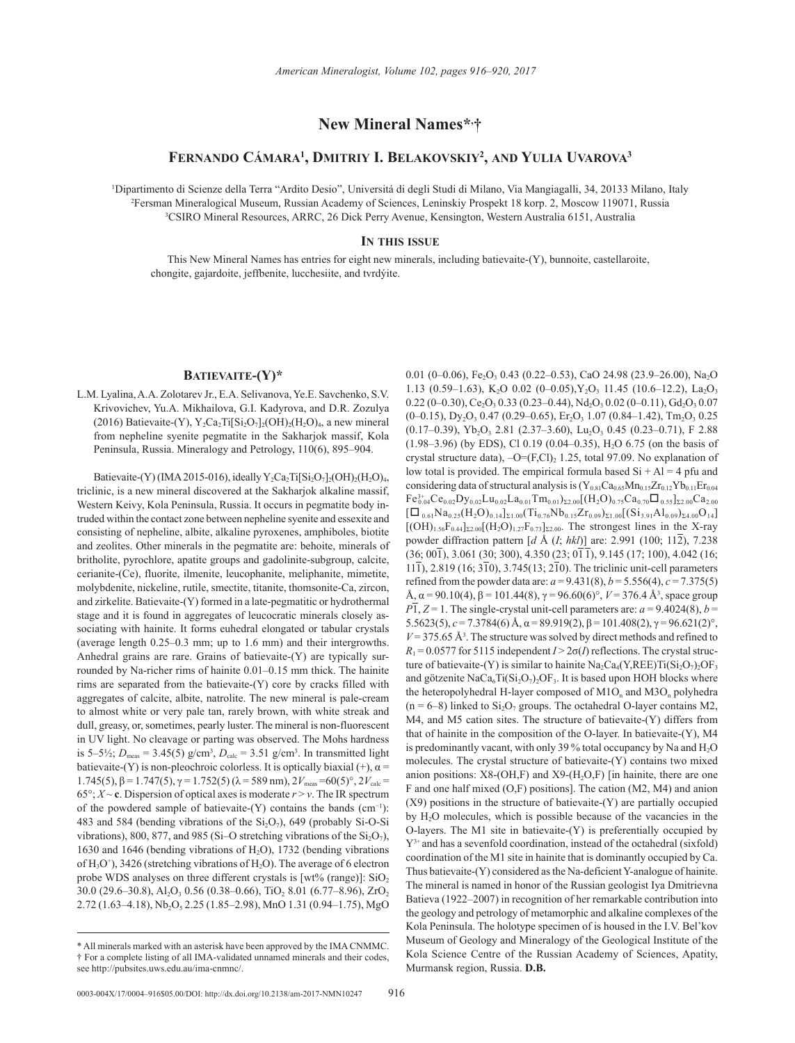# **New Mineral Names\*, †**

## **Fernando Cámara1 , Dmitriy I. Belakovskiy2 , and Yulia Uvarova3**

1 Dipartimento di Scienze della Terra "Ardito Desio", Universitá di degli Studi di Milano, Via Mangiagalli, 34, 20133 Milano, Italy 2 Fersman Mineralogical Museum, Russian Academy of Sciences, Leninskiy Prospekt 18 korp. 2, Moscow 119071, Russia 3 <sup>3</sup>CSIRO Mineral Resources, ARRC, 26 Dick Perry Avenue, Kensington, Western Australia 6151, Australia

#### **In this issue**

This New Mineral Names has entries for eight new minerals, including batievaite-(Y), bunnoite, castellaroite, chongite, gajardoite, jeffbenite, lucchesiite, and tvrdýite.

## **Batievaite-(Y)\***

L.M. Lyalina, A.A. Zolotarev Jr., E.A. Selivanova, Ye.E. Savchenko, S.V. Krivovichev, Yu.A. Mikhailova, G.I. Kadyrova, and D.R. Zozulya (2016) Batievaite-(Y),  $Y_2Ca_2Ti[Si_2O_7]_2(OH)_2(H_2O)_4$ , a new mineral from nepheline syenite pegmatite in the Sakharjok massif, Kola Peninsula, Russia. [Mineralogy and Petrology,](http://link.springer.com/journal/710) 110(6), 895–904.

Batievaite-(Y) (IMA 2015-016), ideally  $Y_2Ca_2Ti[Si_2O_7]_2(OH)_2(H_2O)_4$ , triclinic, is a new mineral discovered at the Sakharjok alkaline massif, Western Keivy, Kola Peninsula, Russia. It occurs in pegmatite body intruded within the contact zone between nepheline syenite and essexite and consisting of nepheline, albite, alkaline pyroxenes, amphiboles, biotite and zeolites. Other minerals in the pegmatite are: behoite, minerals of britholite, pyrochlore, apatite groups and gadolinite-subgroup, calcite, cerianite-(Ce), fluorite, ilmenite, leucophanite, meliphanite, mimetite, molybdenite, nickeline, rutile, smectite, titanite, thomsonite-Ca, zircon, and zirkelite. Batievaite-(Y) formed in a late-pegmatitic or hydrothermal stage and it is found in aggregates of leucocratic minerals closely associating with hainite. It forms euhedral elongated or tabular crystals (average length 0.25–0.3 mm; up to 1.6 mm) and their intergrowths. Anhedral grains are rare. Grains of batievaite-(Y) are typically surrounded by Na-richer rims of hainite 0.01–0.15 mm thick. The hainite rims are separated from the batievaite-(Y) core by cracks filled with aggregates of calcite, albite, natrolite. The new mineral is pale-cream to almost white or very pale tan, rarely brown, with white streak and dull, greasy, or, sometimes, pearly luster. The mineral is non-fluorescent in UV light. No cleavage or parting was observed. The Mohs hardness is 5–5<sup>1</sup>/<sub>2</sub>;  $D_{\text{meas}} = 3.45(5) \text{ g/cm}^3$ ,  $D_{\text{calc}} = 3.51 \text{ g/cm}^3$ . In transmitted light batievaite-(Y) is non-pleochroic colorless. It is optically biaxial (+),  $\alpha$  = 1.745(5), β = 1.747(5), γ = 1.752(5) ( $\lambda$  = 589 nm), 2*V*<sub>meas</sub> = 60(5)°, 2*V*<sub>calc</sub> = 65°;  $X \sim$  **c**. Dispersion of optical axes is moderate  $r > v$ . The IR spectrum of the powdered sample of batievaite-(Y) contains the bands (cm−1): 483 and 584 (bending vibrations of the  $Si<sub>2</sub>O<sub>7</sub>$ ), 649 (probably Si-O-Si vibrations), 800, 877, and 985 (Si–O stretching vibrations of the  $Si<sub>2</sub>O<sub>7</sub>$ ), 1630 and 1646 (bending vibrations of  $H_2O$ ), 1732 (bending vibrations of  $H_3O^+$ ), 3426 (stretching vibrations of  $H_2O$ ). The average of 6 electron probe WDS analyses on three different crystals is [wt% (range)]:  $SiO<sub>2</sub>$  $30.0$  (29.6–30.8), Al<sub>2</sub>O<sub>3</sub> 0.56 (0.38–0.66), TiO<sub>2</sub> 8.01 (6.77–8.96), ZrO<sub>2</sub> 2.72 (1.63-4.18), Nb<sub>2</sub>O<sub>5</sub> 2.25 (1.85-2.98), MnO 1.31 (0.94-1.75), MgO

0.01 (0-0.06), Fe<sub>2</sub>O<sub>3</sub> 0.43 (0.22-0.53), CaO 24.98 (23.9-26.00), Na<sub>2</sub>O 1.13 (0.59–1.63), K<sub>2</sub>O 0.02 (0–0.05), Y<sub>2</sub>O<sub>3</sub> 11.45 (10.6–12.2), La<sub>2</sub>O<sub>3</sub>  $0.22$  (0-0.30), Ce<sub>2</sub>O<sub>3</sub> 0.33 (0.23-0.44), Nd<sub>2</sub>O<sub>3</sub> 0.02 (0-0.11), Gd<sub>2</sub>O<sub>3</sub> 0.07  $(0-0.15)$ , Dy<sub>2</sub>O<sub>3</sub> 0.47 (0.29-0.65), Er<sub>2</sub>O<sub>3</sub> 1.07 (0.84-1.42), Tm<sub>2</sub>O<sub>3</sub> 0.25  $(0.17-0.39)$ , Yb<sub>2</sub>O<sub>3</sub> 2.81 (2.37-3.60), Lu<sub>2</sub>O<sub>3</sub> 0.45 (0.23-0.71), F 2.88  $(1.98-3.96)$  (by EDS), Cl 0.19 (0.04–0.35), H<sub>2</sub>O 6.75 (on the basis of crystal structure data),  $-O=(F,Cl)_2$  1.25, total 97.09. No explanation of low total is provided. The empirical formula based  $Si + Al = 4$  pfu and considering data of structural analysis is  $(Y_{0.81}Ca_{0.65}Mn_{0.15}Zr_{0.12}Yb_{0.11}Er_{0.04}$  $\rm Fe^{3+}_{0.04}Ce_{0.02}Dy_{0.02}Lu_{0.02}La_{0.01}Tm_{0.01})_{\Sigma2.00}[(H_2O)_{0.75}Ca_{0.70}\Box_{0.55}]_{\Sigma2.00}Ca_{2.00}$  $[\Box_{0.61}Na_{0.25}(H_2O)_{0.14}]_{\Sigma1.00}(Ti_{0.76}Nb_{0.15}Zr_{0.09})_{\Sigma1.00}[(Si_{3.91}Al_{0.09})_{\Sigma4.00}O_{14}]$  $[(OH)_{1.56}F_{0.44}]_{\Sigma2.00}[(H_2O)_{1.27}F_{0.73}]_{\Sigma2.00}$ . The strongest lines in the X-ray powder diffraction pattern [*d* Å (*I*; *hkl*)] are: 2.991 (100; 112), 7.238  $(36; 00\overline{1}), 3.061 (30; 300), 4.350 (23; 0\overline{1}), 9.145 (17; 100), 4.042 (16;$  $11\overline{1}$ , 2.819 (16;  $3\overline{1}0$ ), 3.745(13;  $2\overline{1}0$ ). The triclinic unit-cell parameters refined from the powder data are:  $a = 9.431(8)$ ,  $b = 5.556(4)$ ,  $c = 7.375(5)$ Å,  $\alpha$  = 90.10(4),  $\beta$  = 101.44(8),  $\gamma$  = 96.60(6)°,  $V$  = 376.4 Å<sup>3</sup>, space group  $P\overline{1}$ ,  $Z = 1$ . The single-crystal unit-cell parameters are: *a* = 9.4024(8), *b* = 5.5623(5), *c* = 7.3784(6) Å, α = 89.919(2), β = 101.408(2), γ = 96.621(2)°,  $V = 375.65 \text{ Å}^3$ . The structure was solved by direct methods and refined to  $R_1 = 0.0577$  for 5115 independent  $I > 2\sigma(I)$  reflections. The crystal structure of batievaite-(Y) is similar to hainite  $Na<sub>2</sub>Ca<sub>4</sub>(Y,REE)Ti(Si<sub>2</sub>O<sub>7</sub>)<sub>2</sub>OF<sub>3</sub>$ and götzenite  $NaCa<sub>6</sub>Ti(Si<sub>2</sub>O<sub>7</sub>)<sub>2</sub>OF<sub>3</sub>$ . It is based upon HOH blocks where the heteropolyhedral H-layer composed of  $M1O<sub>n</sub>$  and  $M3O<sub>n</sub>$  polyhedra  $(n = 6-8)$  linked to  $Si<sub>2</sub>O<sub>7</sub>$  groups. The octahedral O-layer contains M2, M4, and M5 cation sites. The structure of batievaite-(Y) differs from that of hainite in the composition of the O-layer. In batievaite-(Y), M4 is predominantly vacant, with only 39 % total occupancy by Na and  $H_2O$ molecules. The crystal structure of batievaite-(Y) contains two mixed anion positions:  $X8-(OH,F)$  and  $X9-(H_2O,F)$  [in hainite, there are one F and one half mixed (O,F) positions]. The cation (M2, M4) and anion (X9) positions in the structure of batievaite-(Y) are partially occupied by H2O molecules, which is possible because of the vacancies in the O-layers. The M1 site in batievaite-(Y) is preferentially occupied by  $Y^{3+}$  and has a sevenfold coordination, instead of the octahedral (sixfold) coordination of the M1 site in hainite that is dominantly occupied by Ca. Thus batievaite-(Y) considered as the Na-deficient Y-analogue of hainite. The mineral is named in honor of the Russian geologist Iya Dmitrievna Batieva (1922–2007) in recognition of her remarkable contribution into the geology and petrology of metamorphic and alkaline complexes of the Kola Peninsula. The holotype specimen of is housed in the I.V. Bel'kov Museum of Geology and Mineralogy of the Geological Institute of the Kola Science Centre of the Russian Academy of Sciences, Apatity, Murmansk region, Russia. **D.B.**

<sup>\*</sup> All minerals marked with an asterisk have been approved by the IMA CNMMC. † For a complete listing of all IMA-validated unnamed minerals and their codes, see http://pubsites.uws.edu.au/ima-cnmnc/.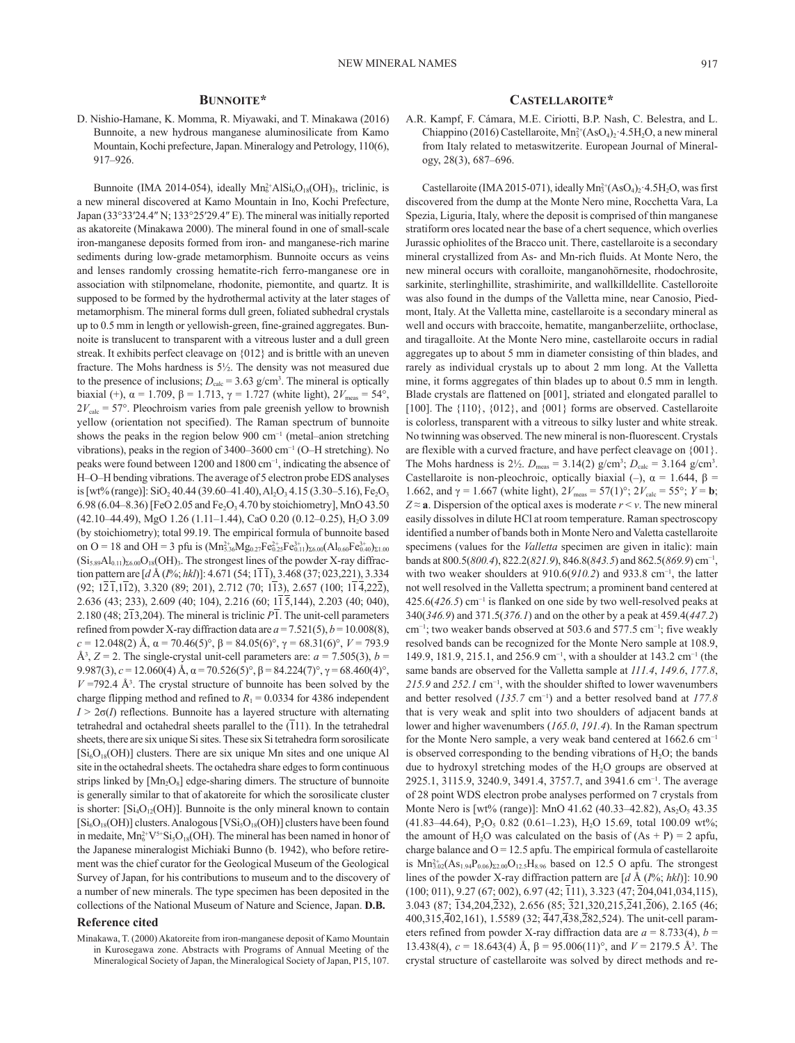## **Bunnoite\***

D. Nishio-Hamane, K. Momma, R. Miyawaki, and T. Minakawa (2016) Bunnoite, a new hydrous manganese aluminosilicate from Kamo Mountain, Kochi prefecture, Japan. [Mineralogy and Petrology](http://link.springer.com/journal/710), 110(6), 917–926.

Bunnoite (IMA 2014-054), ideally  $Mn_6^2$ <sup>+</sup>AlSi<sub>6</sub>O<sub>18</sub>(OH)<sub>3</sub>, triclinic, is a new mineral discovered at Kamo Mountain in Ino, Kochi Prefecture, Japan (33°33′24.4″ N; 133°25′29.4″ E). The mineral was initially reported as akatoreite (Minakawa 2000). The mineral found in one of small-scale iron-manganese deposits formed from iron- and manganese-rich marine sediments during low-grade metamorphism. Bunnoite occurs as veins and lenses randomly crossing hematite-rich ferro-manganese ore in association with stilpnomelane, rhodonite, piemontite, and quartz. It is supposed to be formed by the hydrothermal activity at the later stages of metamorphism. The mineral forms dull green, foliated subhedral crystals up to 0.5 mm in length or yellowish-green, fine-grained aggregates. Bunnoite is translucent to transparent with a vitreous luster and a dull green streak. It exhibits perfect cleavage on {012} and is brittle with an uneven fracture. The Mohs hardness is 5½. The density was not measured due to the presence of inclusions;  $D_{\text{calc}} = 3.63 \text{ g/cm}^3$ . The mineral is optically biaxial (+),  $\alpha = 1.709$ ,  $\beta = 1.713$ ,  $\gamma = 1.727$  (white light),  $2V_{\text{meas}} = 54^{\circ}$ ,  $2V_{\text{calc}} = 57^{\circ}$ . Pleochroism varies from pale greenish yellow to brownish yellow (orientation not specified). The Raman spectrum of bunnoite shows the peaks in the region below 900 cm<sup>-1</sup> (metal–anion stretching vibrations), peaks in the region of 3400–3600 cm−1 (O–H stretching). No peaks were found between 1200 and 1800 cm<sup>-1</sup>, indicating the absence of H–O–H bending vibrations. The average of 5 electron probe EDS analyses is [wt% (range)]: SiO<sub>2</sub> 40.44 (39.60–41.40), Al<sub>2</sub>O<sub>3</sub> 4.15 (3.30–5.16), Fe<sub>2</sub>O<sub>3</sub> 6.98 (6.04–8.36) [FeO 2.05 and Fe<sub>2</sub>O<sub>3</sub> 4.70 by stoichiometry], MnO 43.50 (42.10–44.49), MgO 1.26 (1.11–1.44), CaO 0.20 (0.12–0.25), H2O 3.09 (by stoichiometry); total 99.19. The empirical formula of bunnoite based on O = 18 and OH = 3 pfu is  $(Mn_{5.36}^{2+}Mg_{0.27}Fe_{0.25}^{2+}Fe_{0.11}^{3+})_{\Sigma 6.00}(Al_{0.60}Fe_{0.40}^{3+})_{\Sigma 1.00}$  $(Si_{5.89}Al_{0.11})_{26.00}O_{18}(OH)$ <sub>3</sub>. The strongest lines of the powder X-ray diffraction pattern are [*d* Å (*I*%; *hkl*)]: 4.671 (54; 111), 3.468 (37; 023,221), 3.334  $(92; 12\overline{1}, 1\overline{1}2)$ , 3.320 (89; 201), 2.712 (70; 1 $\overline{1}3$ ), 2.657 (100; 1 $\overline{1}4,22\overline{2}$ ), 2.636 (43; 233), 2.609 (40; 104), 2.216 (60; 115,144), 2.203 (40; 040), 2.180 (48; 213,204). The mineral is triclinic *P*1. The unit-cell parameters refined from powder X-ray diffraction data are  $a = 7.521(5)$ ,  $b = 10.008(8)$ , *c* = 12.048(2) Å, α = 70.46(5)°, β = 84.05(6)°, γ = 68.31(6)°, *V* = 793.9  $\mathring{A}^3$ ,  $Z = 2$ . The single-crystal unit-cell parameters are:  $a = 7.505(3)$ ,  $b = 1$ 9.987(3),  $c = 12.060(4)$  Å,  $\alpha = 70.526(5)$ °,  $\beta = 84.224(7)$ °,  $\gamma = 68.460(4)$ °,  $V = 792.4$  Å<sup>3</sup>. The crystal structure of bunnoite has been solved by the charge flipping method and refined to  $R_1 = 0.0334$  for 4386 independent  $I > 2\sigma(I)$  reflections. Bunnoite has a layered structure with alternating tetrahedral and octahedral sheets parallel to the (111). In the tetrahedral sheets, there are six unique Si sites. These six Si tetrahedra form sorosilicate  $[Si<sub>6</sub>O<sub>18</sub>(OH)]$  clusters. There are six unique Mn sites and one unique Al site in the octahedral sheets. The octahedra share edges to form continuous strips linked by [Mn<sub>2</sub>O<sub>8</sub>] edge-sharing dimers. The structure of bunnoite is generally similar to that of akatoreite for which the sorosilicate cluster is shorter:  $[Si_4O_{12}(OH)]$ . Bunnoite is the only mineral known to contain  $[Si_6O_{18}(OH)]$  clusters. Analogous  $[VSi_5O_{18}(OH)]$  clusters have been found in medaite,  $Mn_6^{2+}V^{5+}Si_5O_{18}(OH)$ . The mineral has been named in honor of the Japanese mineralogist Michiaki Bunno (b. 1942), who before retirement was the chief curator for the Geological Museum of the Geological Survey of Japan, for his contributions to museum and to the discovery of a number of new minerals. The type specimen has been deposited in the collections of the National Museum of Nature and Science, Japan. **D.B.**

#### **Reference cited**

Minakawa, T. (2000) Akatoreite from iron-manganese deposit of Kamo Mountain in Kurosegawa zone. Abstracts with Programs of Annual Meeting of the Mineralogical Society of Japan, the Mineralogical Society of Japan, P15, 107.

#### **Castellaroite\***

A.R. Kampf, F. Cámara, M.E. Ciriotti, B.P. Nash, C. Belestra, and L. Chiappino (2016) Castellaroite,  $Mn_3^2(AsO_4)_2$  4.5H<sub>2</sub>O, a new mineral from Italy related to metaswitzerite. European Journal of Mineralogy, 28(3), 687–696.

Castellaroite (IMA 2015-071), ideally  $Mn_3^{2+}(AsO_4)_2 \cdot 4.5H_2O$ , was first discovered from the dump at the Monte Nero mine, Rocchetta Vara, La Spezia, Liguria, Italy, where the deposit is comprised of thin manganese stratiform ores located near the base of a chert sequence, which overlies Jurassic ophiolites of the Bracco unit. There, castellaroite is a secondary mineral crystallized from As- and Mn-rich fluids. At Monte Nero, the new mineral occurs with coralloite, manganohörnesite, rhodochrosite, sarkinite, sterlinghillite, strashimirite, and wallkilldellite. Castelloroite was also found in the dumps of the Valletta mine, near Canosio, Piedmont, Italy. At the Valletta mine, castellaroite is a secondary mineral as well and occurs with braccoite, hematite, manganberzeliite, orthoclase, and tiragalloite. At the Monte Nero mine, castellaroite occurs in radial aggregates up to about 5 mm in diameter consisting of thin blades, and rarely as individual crystals up to about 2 mm long. At the Valletta mine, it forms aggregates of thin blades up to about 0.5 mm in length. Blade crystals are flattened on [001], striated and elongated parallel to [100]. The {110}, {012}, and {001} forms are observed. Castellaroite is colorless, transparent with a vitreous to silky luster and white streak. No twinning was observed. The new mineral is non-fluorescent. Crystals are flexible with a curved fracture, and have perfect cleavage on {001}. The Mohs hardness is  $2\frac{1}{2}$ .  $D_{\text{meas}} = 3.14(2)$  g/cm<sup>3</sup>;  $D_{\text{calc}} = 3.164$  g/cm<sup>3</sup>. Castellaroite is non-pleochroic, optically biaxial (–),  $\alpha = 1.644$ ,  $\beta =$ 1.662, and γ = 1.667 (white light),  $2V_{\text{meas}} = 57(1)°$ ;  $2V_{\text{calc}} = 55°$ ;  $Y = **b**$ ;  $Z \approx a$ . Dispersion of the optical axes is moderate  $r \le v$ . The new mineral easily dissolves in dilute HCl at room temperature. Raman spectroscopy identified a number of bands both in Monte Nero and Valetta castellaroite specimens (values for the *Valletta* specimen are given in italic): main bands at 800.5(*800.4*), 822.2(*821.9*), 846.8(*843.5*) and 862.5(*869.9*) cm−1, with two weaker shoulders at 910.6(910.2) and 933.8 cm<sup>-1</sup>, the latter not well resolved in the Valletta spectrum; a prominent band centered at 425.6(*426.5*) cm−1 is flanked on one side by two well-resolved peaks at 340(*346.9*) and 371.5(*376.1*) and on the other by a peak at 459.4(*447.2*) cm−1; two weaker bands observed at 503.6 and 577.5 cm−1; five weakly resolved bands can be recognized for the Monte Nero sample at 108.9, 149.9, 181.9, 215.1, and 256.9 cm−1, with a shoulder at 143.2 cm−1 (the same bands are observed for the Valletta sample at *111.4*, *149.6*, *177.8*, 215.9 and 252.1 cm<sup>-1</sup>, with the shoulder shifted to lower wavenumbers and better resolved (*135.7* cm−1) and a better resolved band at *177.8* that is very weak and split into two shoulders of adjacent bands at lower and higher wavenumbers (*165.0*, *191.4*). In the Raman spectrum for the Monte Nero sample, a very weak band centered at 1662.6 cm−1 is observed corresponding to the bending vibrations of  $H_2O$ ; the bands due to hydroxyl stretching modes of the  $H<sub>2</sub>O$  groups are observed at 2925.1, 3115.9, 3240.9, 3491.4, 3757.7, and 3941.6 cm<sup>-1</sup>. The average of 28 point WDS electron probe analyses performed on 7 crystals from Monte Nero is [wt% (range)]: MnO 41.62 (40.33–42.82),  $As_2O_5$  43.35  $(41.83-44.64)$ , P<sub>2</sub>O<sub>5</sub> 0.82  $(0.61-1.23)$ , H<sub>2</sub>O 15.69, total 100.09 wt%; the amount of H<sub>2</sub>O was calculated on the basis of  $(As + P) = 2$  apfu, charge balance and  $O = 12.5$  apfu. The empirical formula of castellaroite is  $Mn_{3.02}^{2+}(As_{1.94}P_{0.06})_{\Sigma2.00}O_{12.5}H_{8.96}$  based on 12.5 O apfu. The strongest lines of the powder X-ray diffraction pattern are [*d* Å (*I*%; *hkl*)]: 10.90 (100; 011), 9.27 (67; 002), 6.97 (42; 111), 3.323 (47; 204,041,034,115), 3.043 (87; 134,204,232), 2.656 (85; 321,320,215,241,206), 2.165 (46; 400,315,402,161), 1.5589 (32; 447,438,282,524). The unit-cell parameters refined from powder X-ray diffraction data are  $a = 8.733(4)$ ,  $b =$ 13.438(4),  $c = 18.643(4)$  Å,  $β = 95.006(11)°$ , and  $V = 2179.5$  Å<sup>3</sup>. The crystal structure of castellaroite was solved by direct methods and re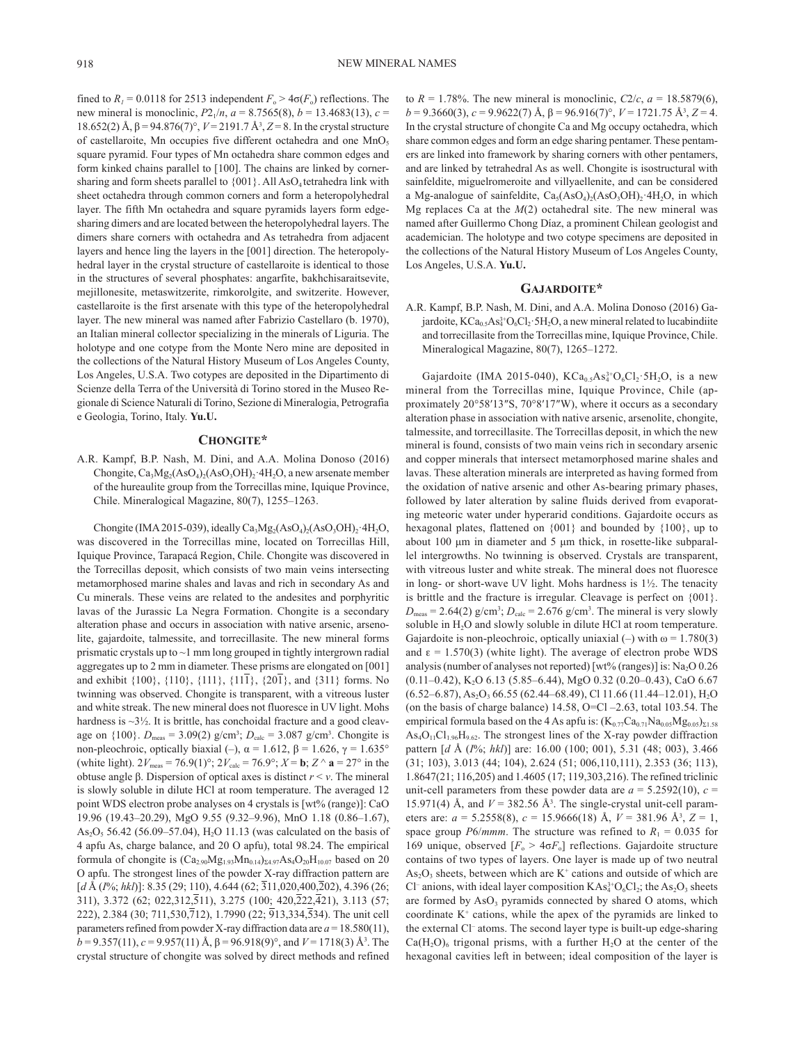fined to  $R_1 = 0.0118$  for 2513 independent  $F_0 > 4\sigma(F_0)$  reflections. The new mineral is monoclinic,  $P2_1/n$ ,  $a = 8.7565(8)$ ,  $b = 13.4683(13)$ ,  $c =$ 18.652(2) Å, β = 94.876(7)°, *V* = 2191.7 Å3 , *Z* = 8. In the crystal structure of castellaroite, Mn occupies five different octahedra and one MnO<sub>5</sub> square pyramid. Four types of Mn octahedra share common edges and form kinked chains parallel to [100]. The chains are linked by cornersharing and form sheets parallel to  ${001}$ . All AsO<sub>4</sub> tetrahedra link with sheet octahedra through common corners and form a heteropolyhedral layer. The fifth Mn octahedra and square pyramids layers form edgesharing dimers and are located between the heteropolyhedral layers. The dimers share corners with octahedra and As tetrahedra from adjacent layers and hence ling the layers in the [001] direction. The heteropolyhedral layer in the crystal structure of castellaroite is identical to those in the structures of several phosphates: angarfite, bakhchisaraitsevite, mejillonesite, metaswitzerite, rimkorolgite, and switzerite. However, castellaroite is the first arsenate with this type of the heteropolyhedral layer. The new mineral was named after Fabrizio Castellaro (b. 1970), an Italian mineral collector specializing in the minerals of Liguria. The holotype and one cotype from the Monte Nero mine are deposited in the collections of the Natural History Museum of Los Angeles County, Los Angeles, U.S.A. Two cotypes are deposited in the Dipartimento di Scienze della Terra of the Università di Torino stored in the Museo Regionale di Science Naturali di Torino, Sezione di Mineralogia, Petrografia e Geologia, Torino, Italy. **Yu.U.**

### **Chongite\***

A.R. Kampf, B.P. Nash, M. Dini, and A.A. Molina Donoso (2016) Chongite,  $Ca_3Mg_2(AsO_4)$ <sub>2</sub> $(AsO_3OH)$ <sub>2</sub>·4H<sub>2</sub>O, a new arsenate member of the hureaulite group from the Torrecillas mine, Iquique Province, Chile. Mineralogical Magazine, 80(7), 1255–1263.

Chongite (IMA 2015-039), ideally Ca<sub>3</sub>Mg<sub>2</sub>(AsO<sub>4</sub>)<sub>2</sub>(AsO<sub>3</sub>OH)<sub>2</sub>·4H<sub>2</sub>O, was discovered in the Torrecillas mine, located on Torrecillas Hill, Iquique Province, Tarapacá Region, Chile. Chongite was discovered in the Torrecillas deposit, which consists of two main veins intersecting metamorphosed marine shales and lavas and rich in secondary As and Cu minerals. These veins are related to the andesites and porphyritic lavas of the Jurassic La Negra Formation. Chongite is a secondary alteration phase and occurs in association with native arsenic, arsenolite, gajardoite, talmessite, and torrecillasite. The new mineral forms prismatic crystals up to  $\sim$ 1 mm long grouped in tightly intergrown radial aggregates up to 2 mm in diameter. These prisms are elongated on [001] and exhibit  $\{100\}$ ,  $\{110\}$ ,  $\{111\}$ ,  $\{11\overline{1}\}$ ,  $\{20\overline{1}\}$ , and  $\{311\}$  forms. No twinning was observed. Chongite is transparent, with a vitreous luster and white streak. The new mineral does not fluoresce in UV light. Mohs hardness is  $\sim$ 3½. It is brittle, has conchoidal fracture and a good cleavage on  $\{100\}$ .  $D_{\text{meas}} = 3.09(2)$  g/cm<sup>3</sup>;  $D_{\text{calc}} = 3.087$  g/cm<sup>3</sup>. Chongite is non-pleochroic, optically biaxial (–),  $\alpha$  = 1.612, β = 1.626, γ = 1.635° (white light).  $2V_{\text{meas}} = 76.9(1)^\circ$ ;  $2V_{\text{calc}} = 76.9^\circ$ ;  $X = \mathbf{b}$ ;  $Z \wedge \mathbf{a} = 27^\circ$  in the obtuse angle β. Dispersion of optical axes is distinct *r* < *v*. The mineral is slowly soluble in dilute HCl at room temperature. The averaged 12 point WDS electron probe analyses on 4 crystals is [wt% (range)]: CaO 19.96 (19.43–20.29), MgO 9.55 (9.32–9.96), MnO 1.18 (0.86–1.67), As<sub>2</sub>O<sub>5</sub> 56.42 (56.09–57.04), H<sub>2</sub>O 11.13 (was calculated on the basis of 4 apfu As, charge balance, and 20 O apfu), total 98.24. The empirical formula of chongite is  $(Ca_{2.90}Mg_{1.93}Mn_{0.14})_{\Sigma 4.97}As_4O_{20}H_{10.07}$  based on 20 O apfu. The strongest lines of the powder X-ray diffraction pattern are [*d* Å (*I*%; *hkl*)]: 8.35 (29; 110), 4.644 (62;  $\overline{3}11,020,400,\overline{2}02$ ), 4.396 (26;  $311$ ),  $3.372$  (62;  $022,312,511$ ),  $3.275$  (100;  $420,222,421$ ),  $3.113$  (57; 222), 2.384 (30; 711,530,  $\overline{7}12$ ), 1.7990 (22;  $\overline{9}13,334,534$ ). The unit cell parameters refined from powder X-ray diffraction data are  $a = 18.580(11)$ ,  $b = 9.357(11)$ , *c* = 9.957(11) Å, β = 96.918(9)°, and *V* = 1718(3) Å<sup>3</sup>. The crystal structure of chongite was solved by direct methods and refined

to  $R = 1.78\%$ . The new mineral is monoclinic,  $C2/c$ ,  $a = 18.5879(6)$ , *b* = 9.3660(3), *c* = 9.9622(7) Å, β = 96.916(7)°, *V* = 1721.75 Å3 , *Z* = 4. In the crystal structure of chongite Ca and Mg occupy octahedra, which share common edges and form an edge sharing pentamer. These pentamers are linked into framework by sharing corners with other pentamers, and are linked by tetrahedral As as well. Chongite is isostructural with sainfeldite, miguelromeroite and villyaellenite, and can be considered a Mg-analogue of sainfeldite,  $Ca<sub>5</sub>(AsO<sub>4</sub>)(AsO<sub>3</sub>OH)<sub>2</sub>·4H<sub>2</sub>O$ , in which Mg replaces Ca at the *M*(2) octahedral site. The new mineral was named after Guillermo Chong Díaz, a prominent Chilean geologist and academician. The holotype and two cotype specimens are deposited in the collections of the Natural History Museum of Los Angeles County, Los Angeles, U.S.A. **Yu.U.**

#### **Gajardoite\***

A.R. Kampf, B.P. Nash, M. Dini, and A.A. Molina Donoso (2016) Gajardoite,  $KCa<sub>0.5</sub> As<sub>4</sub><sup>3+</sup>O<sub>6</sub>Cl<sub>2</sub>·5H<sub>2</sub>O$ , a new mineral related to lucabindiite and torrecillasite from the Torrecillas mine, Iquique Province, Chile. Mineralogical Magazine, 80(7), 1265–1272.

Gajardoite (IMA 2015-040),  $KCa<sub>0.5</sub> As<sub>4</sub><sup>3+</sup>O<sub>6</sub>Cl<sub>2</sub> 5H<sub>2</sub>O$ , is a new mineral from the Torrecillas mine, Iquique Province, Chile (approximately 20°58′13″S, 70°8′17″W), where it occurs as a secondary alteration phase in association with native arsenic, arsenolite, chongite, talmessite, and torrecillasite. The Torrecillas deposit, in which the new mineral is found, consists of two main veins rich in secondary arsenic and copper minerals that intersect metamorphosed marine shales and lavas. These alteration minerals are interpreted as having formed from the oxidation of native arsenic and other As-bearing primary phases, followed by later alteration by saline fluids derived from evaporating meteoric water under hyperarid conditions. Gajardoite occurs as hexagonal plates, flattened on {001} and bounded by {100}, up to about 100 μm in diameter and 5 μm thick, in rosette-like subparallel intergrowths. No twinning is observed. Crystals are transparent, with vitreous luster and white streak. The mineral does not fluoresce in long- or short-wave UV light. Mohs hardness is 1½. The tenacity is brittle and the fracture is irregular. Cleavage is perfect on {001}.  $D_{\text{meas}} = 2.64(2) \text{ g/cm}^3$ ;  $D_{\text{calc}} = 2.676 \text{ g/cm}^3$ . The mineral is very slowly soluble in  $H_2O$  and slowly soluble in dilute HCl at room temperature. Gajardoite is non-pleochroic, optically uniaxial (–) with  $\omega = 1.780(3)$ and  $\epsilon = 1.570(3)$  (white light). The average of electron probe WDS analysis (number of analyses not reported) [wt% (ranges)] is:  $Na<sub>2</sub>O$  0.26  $(0.11-0.42)$ , K<sub>2</sub>O 6.13 (5.85–6.44), MgO 0.32 (0.20–0.43), CaO 6.67  $(6.52-6.87)$ , As<sub>2</sub>O<sub>3</sub> 66.55 (62.44–68.49), Cl 11.66 (11.44–12.01), H<sub>2</sub>O (on the basis of charge balance)  $14.58$ , O=Cl –2.63, total 103.54. The empirical formula based on the 4 As apfu is:  $(K_{0.77}Ca_{0.71}Na_{0.05}Mg_{0.05})_{\Sigma1.58}$  $As<sub>4</sub>O<sub>11</sub>Cl<sub>1.96</sub>H<sub>9.62</sub>$ . The strongest lines of the X-ray powder diffraction pattern [*d* Å (*I*%; *hkl*)] are: 16.00 (100; 001), 5.31 (48; 003), 3.466 (31; 103), 3.013 (44; 104), 2.624 (51; 006,110,111), 2.353 (36; 113), 1.8647(21; 116,205) and 1.4605 (17; 119,303,216). The refined triclinic unit-cell parameters from these powder data are  $a = 5.2592(10)$ ,  $c =$ 15.971(4) Å, and  $V = 382.56$  Å<sup>3</sup>. The single-crystal unit-cell parameters are: *a* = 5.2558(8), *c* = 15.9666(18) Å, *V* = 381.96 Å3 , *Z* = 1, space group *P6/mmm*. The structure was refined to  $R_1 = 0.035$  for 169 unique, observed  $[F_0 > 4\sigma F_0]$  reflections. Gajardoite structure contains of two types of layers. One layer is made up of two neutral  $As<sub>2</sub>O<sub>3</sub>$  sheets, between which are K<sup>+</sup> cations and outside of which are Cl<sup>-</sup> anions, with ideal layer composition  $KAs<sub>4</sub><sup>3+</sup>O<sub>6</sub>Cl<sub>2</sub>$ ; the As<sub>2</sub>O<sub>3</sub> sheets are formed by  $AsO<sub>3</sub>$  pyramids connected by shared O atoms, which coordinate  $K^+$  cations, while the apex of the pyramids are linked to the external Cl– atoms. The second layer type is built-up edge-sharing  $Ca(H<sub>2</sub>O)<sub>6</sub>$  trigonal prisms, with a further H<sub>2</sub>O at the center of the hexagonal cavities left in between; ideal composition of the layer is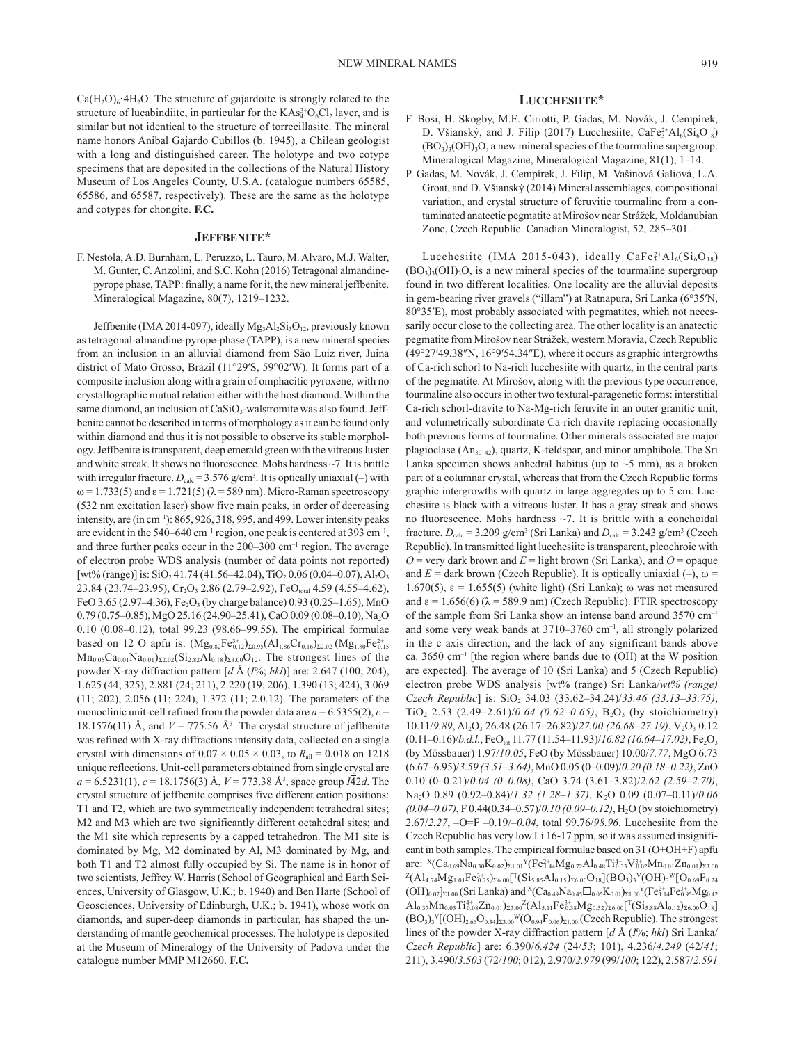$Ca(H<sub>2</sub>O)<sub>6</sub>·4H<sub>2</sub>O$ . The structure of gajardoite is strongly related to the structure of lucabindiite, in particular for the  $KAs<sub>4</sub><sup>3+</sup>O<sub>6</sub>Cl<sub>2</sub>$  layer, and is similar but not identical to the structure of torrecillasite. The mineral name honors Anibal Gajardo Cubillos (b. 1945), a Chilean geologist with a long and distinguished career. The holotype and two cotype specimens that are deposited in the collections of the Natural History Museum of Los Angeles County, U.S.A. (catalogue numbers 65585, 65586, and 65587, respectively). These are the same as the holotype and cotypes for chongite. **F.C.**

#### **Jeffbenite\***

F. Nestola, A.D. Burnham, L. Peruzzo, L. Tauro, M. Alvaro, M.J. Walter, M. Gunter, C. Anzolini, and S.C. Kohn (2016) Tetragonal almandinepyrope phase, TAPP: finally, a name for it, the new mineral jeffbenite. Mineralogical Magazine, 80(7), 1219–1232.

Jeffbenite (IMA 2014-097), ideally  $Mg_3Al_2Si_3O_{12}$ , previously known as tetragonal-almandine-pyrope-phase (TAPP), is a new mineral species from an inclusion in an alluvial diamond from São Luiz river, Juina district of Mato Grosso, Brazil (11°29′S, 59°02′W). It forms part of a composite inclusion along with a grain of omphacitic pyroxene, with no crystallographic mutual relation either with the host diamond. Within the same diamond, an inclusion of CaSiO<sub>3</sub>-walstromite was also found. Jeffbenite cannot be described in terms of morphology as it can be found only within diamond and thus it is not possible to observe its stable morphology. Jeffbenite is transparent, deep emerald green with the vitreous luster and white streak. It shows no fluorescence. Mohs hardness ~7. It is brittle with irregular fracture.  $D_{\text{calc}} = 3.576$  g/cm<sup>3</sup>. It is optically uniaxial (-) with  $ω = 1.733(5)$  and  $ε = 1.721(5) (λ = 589$  nm). Micro-Raman spectroscopy (532 nm excitation laser) show five main peaks, in order of decreasing intensity, are (in cm–1): 865, 926, 318, 995, and 499. Lower intensity peaks are evident in the 540–640 cm<sup>-1</sup> region, one peak is centered at 393 cm<sup>-1</sup>, and three further peaks occur in the 200–300 cm–1 region. The average of electron probe WDS analysis (number of data points not reported) [wt% (range)] is:  $SiO<sub>2</sub>41.74$  (41.56–42.04), TiO<sub>2</sub> 0.06 (0.04–0.07), Al<sub>2</sub>O<sub>3</sub> 23.84 (23.74–23.95),  $Cr_2O_3$  2.86 (2.79–2.92), FeO<sub>total</sub> 4.59 (4.55–4.62), FeO 3.65 (2.97–4.36), Fe<sub>2</sub>O<sub>3</sub> (by charge balance) 0.93 (0.25–1.65), MnO 0.79 (0.75–0.85), MgO 25.16 (24.90–25.41), CaO 0.09 (0.08–0.10), Na<sub>2</sub>O 0.10 (0.08–0.12), total 99.23 (98.66–99.55). The empirical formulae based on 12 O apfu is:  $(Mg_{0.82}Fe_{0.12}^{3+})_{\Sigma 0.95}(Al_{1.86}Cr_{0.16})_{\Sigma 2.02}(Mg_{1.80}Fe_{0.15}^{2+})$  $Mn_{0.05}Ca_{0.01}Na_{0.01}$ )<sub>Σ2.02</sub>(Si<sub>2.82</sub>Al<sub>0.18</sub>)<sub>Σ3.00</sub>O<sub>12</sub>. The strongest lines of the powder X-ray diffraction pattern [*d* Å (*I*%; *hkl*)] are: 2.647 (100; 204), 1.625 (44; 325), 2.881 (24; 211), 2.220 (19; 206), 1.390 (13; 424), 3.069 (11; 202), 2.056 (11; 224), 1.372 (11; 2.0.12). The parameters of the monoclinic unit-cell refined from the powder data are  $a = 6.5355(2)$ ,  $c =$ 18.1576(11) Å, and  $V = 775.56$  Å<sup>3</sup>. The crystal structure of jeffbenite was refined with X-ray diffractions intensity data, collected on a single crystal with dimensions of  $0.07 \times 0.05 \times 0.03$ , to  $R_{all} = 0.018$  on 1218 unique reflections. Unit-cell parameters obtained from single crystal are *a* = 6.5231(1), *c* = 18.1756(3) Å, *V* = 773.38 Å3 , space group *I*42*d*. The crystal structure of jeffbenite comprises five different cation positions: T1 and T2, which are two symmetrically independent tetrahedral sites; M2 and M3 which are two significantly different octahedral sites; and the M1 site which represents by a capped tetrahedron. The M1 site is dominated by Mg, M2 dominated by Al, M3 dominated by Mg, and both T1 and T2 almost fully occupied by Si. The name is in honor of two scientists, Jeffrey W. Harris (School of Geographical and Earth Sciences, University of Glasgow, U.K.; b. 1940) and Ben Harte (School of Geosciences, University of Edinburgh, U.K.; b. 1941), whose work on diamonds, and super-deep diamonds in particular, has shaped the understanding of mantle geochemical processes. The holotype is deposited at the Museum of Mineralogy of the University of Padova under the catalogue number MMP M12660. **F.C.**

#### **Lucchesiite\***

- F. Bosi, H. Skogby, M.E. Ciriotti, P. Gadas, M. Novák, J. Cempírek, D. Všianský, and J. Filip (2017) Lucchesiite,  $\text{CaFe}_{3}^{2+}\text{Al}_{6}\text{(Si}_{6}\text{O}_{18})$  $(BO<sub>3</sub>)<sub>3</sub>(OH)<sub>3</sub>O$ , a new mineral species of the tourmaline supergroup. Mineralogical Magazine, Mineralogical Magazine, 81(1), 1–14.
- P. Gadas, M. Novák, J. Cempírek, J. Filip, M. Vašinová Galiová, L.A. Groat, and D. Všianský (2014) Mineral assemblages, compositional variation, and crystal structure of feruvitic tourmaline from a contaminated anatectic pegmatite at Mirošov near Strážek, Moldanubian Zone, Czech Republic. Canadian Mineralogist, 52, 285–301.

Lucchesiite (IMA 2015–043), ideally  $\text{CaFe}_{3}^{2+}\text{Al}_{6}\text{(Si}_{6}\text{O}_{18})$  $(BO<sub>3</sub>)<sub>3</sub>(OH)<sub>3</sub>O$ , is a new mineral species of the tourmaline supergroup found in two different localities. One locality are the alluvial deposits in gem-bearing river gravels ("illam") at Ratnapura, Sri Lanka (6°35′N, 80°35′E), most probably associated with pegmatites, which not necessarily occur close to the collecting area. The other locality is an anatectic pegmatite from Mirošov near Strážek, western Moravia, Czech Republic (49°27′49.38″N, 16°9′54.34″E), where it occurs as graphic intergrowths of Ca-rich schorl to Na-rich lucchesiite with quartz, in the central parts of the pegmatite. At Mirošov, along with the previous type occurrence, tourmaline also occurs in other two textural-paragenetic forms: interstitial Ca-rich schorl-dravite to Na-Mg-rich feruvite in an outer granitic unit, and volumetrically subordinate Ca-rich dravite replacing occasionally both previous forms of tourmaline. Other minerals associated are major plagioclase (An<sub>30-42</sub>), quartz, K-feldspar, and minor amphibole. The Sri Lanka specimen shows anhedral habitus (up to  $\sim$  5 mm), as a broken part of a columnar crystal, whereas that from the Czech Republic forms graphic intergrowths with quartz in large aggregates up to 5 cm. Lucchesiite is black with a vitreous luster. It has a gray streak and shows no fluorescence. Mohs hardness ~7. It is brittle with a conchoidal fracture.  $D_{\text{calc}} = 3.209 \text{ g/cm}^3$  (Sri Lanka) and  $D_{\text{calc}} = 3.243 \text{ g/cm}^3$  (Czech Republic). In transmitted light lucchesiite is transparent, pleochroic with  $O =$  very dark brown and  $E =$  light brown (Sri Lanka), and  $O =$  opaque and  $E =$  dark brown (Czech Republic). It is optically uniaxial  $(-)$ ,  $\omega =$ 1.670(5),  $\varepsilon = 1.655(5)$  (white light) (Sri Lanka); ω was not measured and  $\varepsilon = 1.656(6)$  ( $\lambda = 589.9$  nm) (Czech Republic). FTIR spectroscopy of the sample from Sri Lanka show an intense band around 3570 cm–1 and some very weak bands at 3710–3760 cm<sup>-1</sup>, all strongly polarized in the c axis direction, and the lack of any significant bands above ca.  $3650 \text{ cm}^{-1}$  [the region where bands due to (OH) at the W position are expected]. The average of 10 (Sri Lanka) and 5 (Czech Republic) electron probe WDS analysis [wt% (range) Sri Lanka/*wt% (range) Czech Republic*] is: SiO<sub>2</sub> 34.03 (33.62–34.24)/33.46 (33.13–33.75), TiO<sub>2</sub> 2.53  $(2.49-2.61)/0.64$  (0.62-0.65), B<sub>2</sub>O<sub>3</sub> (by stoichiometry) 10.11/9.89, Al<sub>2</sub>O<sub>3</sub> 26.48 (26.17-26.82)/27.00 (26.68-27.19), V<sub>2</sub>O<sub>3</sub> 0.12 (0.11–0.16)/*b.d.l.*, FeO<sub>tot</sub> 11.77 (11.54–11.93)/16.82 (16.64–17.02), Fe<sub>2</sub>O<sub>3</sub> (by Mössbauer) 1.97/*10.05*, FeO (by Mössbauer) 10.00/*7.77*, MgO 6.73 (6.67–6.95)/*3.59 (3.51–3.64)*, MnO 0.05 (0–0.09)/*0.20 (0.18–0.22)*, ZnO 0.10 (0–0.21)/*0.04 (0–0.08)*, CaO 3.74 (3.61–3.82)/*2.62 (2.59–2.70)*, Na<sub>2</sub>O 0.89 (0.92-0.84)/1.32 (1.28-1.37), K<sub>2</sub>O 0.09 (0.07-0.11)/0.06 *(0.04–0.07)*, F 0.44(0.34–0.57)/*0.10 (0.09–0.12)*, H2O (by stoichiometry) 2.67/*2.27*, –O=F –0.19/*–0.04*, total 99.76/*98.96*. Lucchesiite from the Czech Republic has very low Li 16-17 ppm, so it was assumed insignificant in both samples. The empirical formulae based on 31 (O+OH+F) apfu are:  ${}^{\textrm{x}}(\textrm{Ca}_{0.69}\textrm{Na}_{0.30}\textrm{K}_{0.02})_{\Sigma1.01}{}^{\textrm{Y}}(\textrm{Fe}_{1.44}^{2+}\textrm{M}g_{0.72}\textrm{Al}_{0.48}\textrm{Ti}_{0.33}^{4+}\textrm{V}_{0.02}^{3+}\textrm{Mn}_{0.01}\textrm{Zn}_{0.01})_{\Sigma3.00}$  $^{\mathcal{Z}}(\text{Al}_{4.74}\text{Mg}_{1.01}\text{Fe}_{0.25}^{3+})_{\Sigma 6.00} [^\text{T}(\text{Si}_{5.85}\text{Al}_{0.15})_{\Sigma 6.00} \text{O}_{18}] (\text{BO}_3)_3 {^\text{V}} (\text{OH})_3 {^\text{W}} [\text{O}_{0.69}\text{F}_{0.24}]$  $\rm (OH)_{0.07}]_{21.00}$  (Sri Lanka) and  $\rm ^X(Ca_{0.49}Na_{0.45}\square_{0.05}K_{0.01})_{21.00}$   $\rm ^Y(Fe_{1.14}^{2+}Fe_{0.95}^{3+}Mg_{0.42})$  $\mathrm{Al}_{0.37}\mathrm{Mn}_{0.03}\mathrm{Ti}^{4+}_{0.08}\mathrm{Zn}_{0.01})_{\Sigma3.00}{}^{\mathrm{Z}}\mathrm{(Al}_{5.11}\mathrm{Fe}^{3+}_{0.38}\mathrm{Mg}_{0.52})_{\Sigma6.00}[{}^{\mathrm{T}}\mathrm{(Si}_{5.88}\mathrm{Al}_{0.12})_{\Sigma6.00}\mathrm{O}_{18}]$  $(BO_3)_3^V[(OH)_{2.66}O_{0.34}]_{\Sigma3.00}^W(O_{0.94}F_{0.06})_{\Sigma1.00}$  (Czech Republic). The strongest lines of the powder X-ray diffraction pattern [*d* Å (*I*%; *hkl*) Sri Lanka/ *Czech Republic*] are: 6.390/*6.424* (24/*53*; 101), 4.236/*4.249* (42/*41*; 211), 3.490/*3.503* (72/*100*; 012), 2.970/*2.979* (99/*100*; 122), 2.587/*2.591*